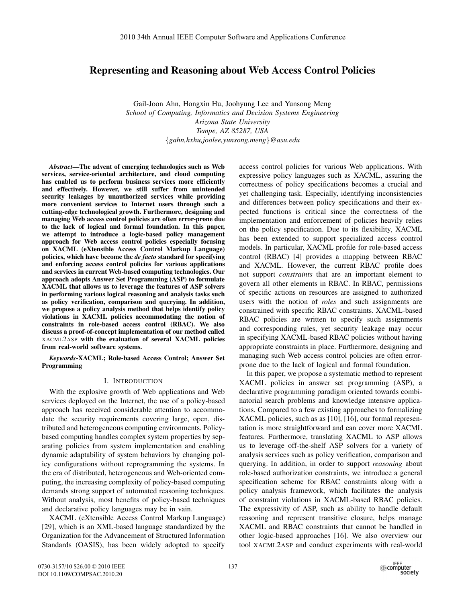# **Representing and Reasoning about Web Access Control Policies**

Gail-Joon Ahn, Hongxin Hu, Joohyung Lee and Yunsong Meng *School of Computing, Informatics and Decision Systems Engineering Arizona State University Tempe, AZ 85287, USA* {*gahn,hxhu,joolee,yunsong.meng*}*@asu.edu*

*Abstract***—The advent of emerging technologies such as Web services, service-oriented architecture, and cloud computing has enabled us to perform business services more efficiently and effectively. However, we still suffer from unintended security leakages by unauthorized services while providing more convenient services to Internet users through such a cutting-edge technological growth. Furthermore, designing and managing Web access control policies are often error-prone due to the lack of logical and formal foundation. In this paper, we attempt to introduce a logic-based policy management approach for Web access control policies especially focusing on XACML (eXtensible Access Control Markup Language) policies, which have become the** *de facto* **standard for specifying and enforcing access control policies for various applications and services in current Web-based computing technologies. Our approach adopts Answer Set Programming (ASP) to formulate XACML that allows us to leverage the features of ASP solvers in performing various logical reasoning and analysis tasks such as policy verification, comparison and querying. In addition, we propose a policy analysis method that helps identify policy violations in XACML policies accommodating the notion of constraints in role-based access control (RBAC). We also discuss a proof-of-concept implementation of our method called** XACML2ASP **with the evaluation of several XACML policies from real-world software systems.**

*Keywords***-XACML; Role-based Access Control; Answer Set Programming**

### I. INTRODUCTION

With the explosive growth of Web applications and Web services deployed on the Internet, the use of a policy-based approach has received considerable attention to accommodate the security requirements covering large, open, distributed and heterogeneous computing environments. Policybased computing handles complex system properties by separating policies from system implementation and enabling dynamic adaptability of system behaviors by changing policy configurations without reprogramming the systems. In the era of distributed, heterogeneous and Web-oriented computing, the increasing complexity of policy-based computing demands strong support of automated reasoning techniques. Without analysis, most benefits of policy-based techniques and declarative policy languages may be in vain.

XACML (eXtensible Access Control Markup Language) [29], which is an XML-based language standardized by the Organization for the Advancement of Structured Information Standards (OASIS), has been widely adopted to specify access control policies for various Web applications. With expressive policy languages such as XACML, assuring the correctness of policy specifications becomes a crucial and yet challenging task. Especially, identifying inconsistencies and differences between policy specifications and their expected functions is critical since the correctness of the implementation and enforcement of policies heavily relies on the policy specification. Due to its flexibility, XACML has been extended to support specialized access control models. In particular, XACML profile for role-based access control (RBAC) [4] provides a mapping between RBAC and XACML. However, the current RBAC profile does not support *constraints* that are an important element to govern all other elements in RBAC. In RBAC, permissions of specific actions on resources are assigned to authorized users with the notion of *roles* and such assignments are constrained with specific RBAC constraints. XACML-based RBAC policies are written to specify such assignments and corresponding rules, yet security leakage may occur in specifying XACML-based RBAC policies without having appropriate constraints in place. Furthermore, designing and managing such Web access control policies are often errorprone due to the lack of logical and formal foundation.

In this paper, we propose a systematic method to represent XACML policies in answer set programming (ASP), a declarative programming paradigm oriented towards combinatorial search problems and knowledge intensive applications. Compared to a few existing approaches to formalizing XACML policies, such as as [10], [16], our formal representation is more straightforward and can cover more XACML features. Furthermore, translating XACML to ASP allows us to leverage off-the-shelf ASP solvers for a variety of analysis services such as policy verification, comparison and querying. In addition, in order to support *reasoning* about role-based authorization constraints, we introduce a general specification scheme for RBAC constraints along with a policy analysis framework, which facilitates the analysis of constraint violations in XACML-based RBAC policies. The expressivity of ASP, such as ability to handle default reasoning and represent transitive closure, helps manage XACML and RBAC constraints that cannot be handled in other logic-based approaches [16]. We also overview our tool XACML2ASP and conduct experiments with real-world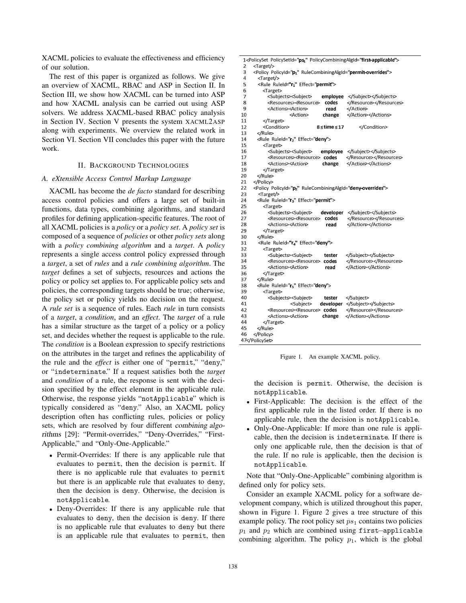XACML policies to evaluate the effectiveness and efficiency of our solution.

The rest of this paper is organized as follows. We give an overview of XACML, RBAC and ASP in Section II. In Section III, we show how XACML can be turned into ASP and how XACML analysis can be carried out using ASP solvers. We address XACML-based RBAC policy analysis in Section IV. Section V presents the system XACML2ASP along with experiments. We overview the related work in Section VI. Section VII concludes this paper with the future work.

### II. BACKGROUND TECHNOLOGIES

#### *A. eXtensible Access Control Markup Language*

XACML has become the *de facto* standard for describing access control policies and offers a large set of built-in functions, data types, combining algorithms, and standard profiles for defining application-specific features. The root of all XACML policies is a *policy* or a *policy set*. A *policy set* is composed of a sequence of *policies* or other *policy sets* along with a *policy combining algorithm* and a *target*. A *policy* represents a single access control policy expressed through a *target*, a set of *rules* and a *rule combining algorithm*. The *target* defines a set of subjects, resources and actions the policy or policy set applies to. For applicable policy sets and policies, the corresponding targets should be true; otherwise, the policy set or policy yields no decision on the request. A *rule set* is a sequence of rules. Each *rule* in turn consists of a *target*, a *condition*, and an *effect*. The *target* of a rule has a similar structure as the target of a policy or a policy set, and decides whether the request is applicable to the rule. The *condition* is a Boolean expression to specify restrictions on the attributes in the target and refines the applicability of the rule and the *effect* is either one of "permit," "deny," or "indeterminate." If a request satisfies both the *target* and *condition* of a rule, the response is sent with the decision specified by the effect element in the applicable rule. Otherwise, the response yields "notApplicable" which is typically considered as "deny." Also, an XACML policy description often has conflicting rules, policies or policy sets, which are resolved by four different combining algorithms [29]: "Permit-overrides," "Deny-Overrides," "First-Applicable," and "Only-One-Applicable."

- Permit-Overrides: If there is any applicable rule that evaluates to permit, then the decision is permit. If there is no applicable rule that evaluates to permit but there is an applicable rule that evaluates to deny, then the decision is deny. Otherwise, the decision is notApplicable.
- Deny-Overrides: If there is any applicable rule that evaluates to deny, then the decision is deny. If there is no applicable rule that evaluates to deny but there is an applicable rule that evaluates to permit, then

```
1<PolicySet PolicySetId="ps1" PolicyCombiningAlgId="first-applicable">
      <Target/>
 3
      <Policy PolicyId="p1" RuleCombiningAlgId="permit-overrides">
 \overline{\mathbf{4}}<Target/>
5
        <Rule RuleId="r1" Effect="permit">
 6
          <Target>
 \overline{7}<Subjects><Subject>
                                     employee </Subiect></Subiects>
\bf 8<Resources><Resource>
                                     codes
                                                </Resource></Resources>
 \overline{9}<Actions><Action>
                                                </Action>
                                      read
10
                                                </Action></Actions>
                      <Action>
                                     change
11
          </Target>
12<Condition>
                                   8 \leqtime \leq 17</Condition>
13</Rule>
       <Rule RuleId="r2" Effect="deny'>
14
15
          <Target>
                                                </Subject></Subjects>
16
            <Subjects><Subject>
                                    employee
17
            <Resource><Resource> codes
                                                </Resource></Resource>
18
            <Actions><Action>
                                                </Action></Actions>
                                     change
          </Target>
19
20
       \epsilon/Rule>
21
     </Policy>
22<Policy PolicyId="p2" RuleCombiningAlgId="deny-overrides">
23
        <Target/>
24<Rule RuleId="r3" Effect="permit">
25
          <Target>
26
            <Subjects><Subject>
                                    developer
                                                </Subiect></Subiects>
27
            <Resources><Resource>
                                      codes
                                                 </Resource></Resources>
28
            <Actions><Action>
                                       read
                                                </Action></Actions>
29
          </Target>
30
       </Rule>
        <Rule RuleId="r<sub>4</sub>" Effect="deny">
31
32
          <Target>
33
            <Subjects><Subject>
                                      tester
                                                </Subject></Subjects>
34
                                                </Resource></Resources>
            <Resources><Resource>
                                     codes
                                                </Action></Actions>
35
            <Actions><Action>
                                      read
36
          </Target>
\overline{37}</Rule>
       <Rule RuleId="r<sub>5</sub>" Effect="deny'>
38
39
          <Target>
40
                                                </Subject>
            <Subjects><Subject>
                                      tester
                      <Subject>
41
                                    developer
                                                </Subject></Subjects>
                                                </Resource></Resource>
42<Resources><Resource> codes
43
            <Actions><Action>
                                               </Action></Actions>
                                     change
44
          </Target>
       </Rule>
45
46
     </Policy>
47</PolicySet>
```
Figure 1. An example XACML policy.

the decision is permit. Otherwise, the decision is notApplicable.

- First-Applicable: The decision is the effect of the first applicable rule in the listed order. If there is no applicable rule, then the decision is notApplicable.
- Only-One-Applicable: If more than one rule is applicable, then the decision is indeterminate. If there is only one applicable rule, then the decision is that of the rule. If no rule is applicable, then the decision is notApplicable.

Note that "Only-One-Applicable" combining algorithm is defined only for policy sets.

Consider an example XACML policy for a software development company, which is utilized throughout this paper, shown in Figure 1. Figure 2 gives a tree structure of this example policy. The root policy set  $ps_1$  contains two policies *p*<sub>1</sub> and *p*<sub>2</sub> which are combined using first-applicable combining algorithm. The policy  $p_1$ , which is the global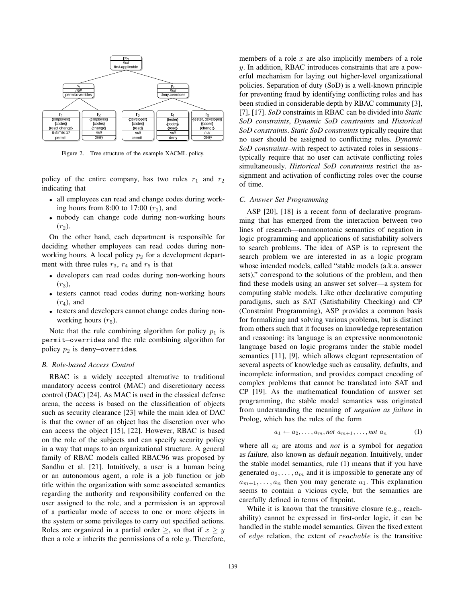

Figure 2. Tree structure of the example XACML policy.

policy of the entire company, has two rules  $r_1$  and  $r_2$ indicating that

- all employees can read and change codes during working hours from 8:00 to  $17:00$   $(r_1)$ , and
- nobody can change code during non-working hours  $(r_2)$ .

On the other hand, each department is responsible for deciding whether employees can read codes during nonworking hours. A local policy  $p_2$  for a development department with three rules  $r_3$ ,  $r_4$  and  $r_5$  is that

- developers can read codes during non-working hours (*r*3),
- testers cannot read codes during non-working hours  $(r_4)$ , and
- testers and developers cannot change codes during nonworking hours  $(r_5)$ .

Note that the rule combining algorithm for policy  $p_1$  is permit−overrides and the rule combining algorithm for policy  $p_2$  is deny–overrides.

### *B. Role-based Access Control*

RBAC is a widely accepted alternative to traditional mandatory access control (MAC) and discretionary access control (DAC) [24]. As MAC is used in the classical defense arena, the access is based on the classification of objects such as security clearance [23] while the main idea of DAC is that the owner of an object has the discretion over who can access the object [15], [22]. However, RBAC is based on the role of the subjects and can specify security policy in a way that maps to an organizational structure. A general family of RBAC models called RBAC96 was proposed by Sandhu et al. [21]. Intuitively, a user is a human being or an autonomous agent, a role is a job function or job title within the organization with some associated semantics regarding the authority and responsibility conferred on the user assigned to the role, and a permission is an approval of a particular mode of access to one or more objects in the system or some privileges to carry out specified actions. Roles are organized in a partial order  $\geq$ , so that if  $x \geq y$ then a role *x* inherits the permissions of a role *y*. Therefore, members of a role *x* are also implicitly members of a role *y*. In addition, RBAC introduces constraints that are a powerful mechanism for laying out higher-level organizational policies. Separation of duty (SoD) is a well-known principle for preventing fraud by identifying conflicting roles and has been studied in considerable depth by RBAC community [3], [7], [17]. *SoD* constraints in RBAC can be divided into *Static SoD constraints*, *Dynamic SoD constraints* and *Historical SoD constraints*. *Static SoD constraints* typically require that no user should be assigned to conflicting roles. *Dynamic SoD constraints*–with respect to activated roles in sessions– typically require that no user can activate conflicting roles simultaneously. *Historical SoD constraints* restrict the assignment and activation of conflicting roles over the course of time.

#### *C. Answer Set Programming*

ASP [20], [18] is a recent form of declarative programming that has emerged from the interaction between two lines of research—nonmonotonic semantics of negation in logic programming and applications of satisfiability solvers to search problems. The idea of ASP is to represent the search problem we are interested in as a logic program whose intended models, called "stable models (a.k.a. answer sets)," correspond to the solutions of the problem, and then find these models using an answer set solver—a system for computing stable models. Like other declarative computing paradigms, such as SAT (Satisfiability Checking) and CP (Constraint Programming), ASP provides a common basis for formalizing and solving various problems, but is distinct from others such that it focuses on knowledge representation and reasoning: its language is an expressive nonmonotonic language based on logic programs under the stable model semantics [11], [9], which allows elegant representation of several aspects of knowledge such as causality, defaults, and incomplete information, and provides compact encoding of complex problems that cannot be translated into SAT and CP [19]. As the mathematical foundation of answer set programming, the stable model semantics was originated from understanding the meaning of *negation as failure* in Prolog, which has the rules of the form

$$
a_1 \leftarrow a_2, \ldots, a_m, \text{not } a_{m+1}, \ldots, \text{not } a_n \tag{1}
$$

where all *a<sup>i</sup>* are atoms and *not* is a symbol for negation as failure, also known as default negation. Intuitively, under the stable model semantics, rule (1) means that if you have generated  $a_2, \ldots, a_m$  and it is impossible to generate any of  $a_{m+1}, \ldots, a_n$  then you may generate  $a_1$ . This explanation seems to contain a vicious cycle, but the semantics are carefully defined in terms of fixpoint.

While it is known that the transitive closure (e.g., reachability) cannot be expressed in first-order logic, it can be handled in the stable model semantics. Given the fixed extent of *edge* relation, the extent of *reachable* is the transitive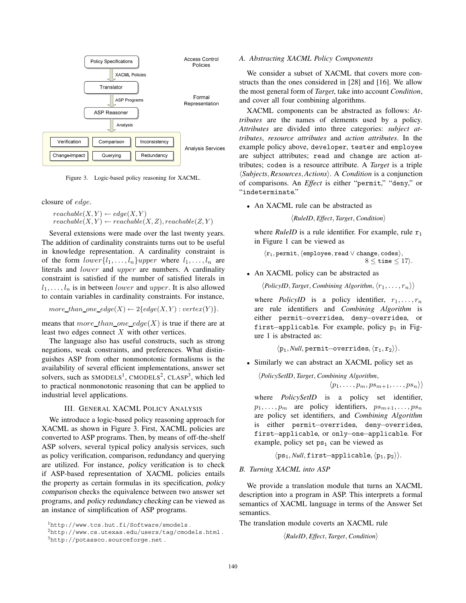

Figure 3. Logic-based policy reasoning for XACML.

closure of *edge*.

 $reachable(X, Y) \leftarrow edge(X, Y)$  $r\epsilon$ *reachable* $(X, Y) \leftarrow$  *reachable* $(X, Z)$ *, reachable* $(Z, Y)$ 

Several extensions were made over the last twenty years. The addition of cardinality constraints turns out to be useful in knowledge representation. A cardinality constraint is of the form  $lower\{l_1, \ldots, l_n\} upper$  where  $l_1, \ldots, l_n$  are literals and *lower* and *upper* are numbers. A cardinality constraint is satisfied if the number of satisfied literals in  $l_1, \ldots, l_n$  is in between *lower* and *upper*. It is also allowed to contain variables in cardinality constraints. For instance,

 $more\_than\_one\_edge(X) \leftarrow 2\{edge(ge(X,Y):vertex(Y)\}.$ 

means that *more* than one edge(X) is true if there are at least two edges connect *X* with other vertices.

The language also has useful constructs, such as strong negations, weak constraints, and preferences. What distinguishes ASP from other nonmonotonic formalisms is the availability of several efficient implementations, answer set solvers, such as  $SMODELS<sup>1</sup>$ , CMODELS<sup>2</sup>, CLASP<sup>3</sup>, which led to practical nonmonotonic reasoning that can be applied to industrial level applications.

# III. GENERAL XACML POLICY ANALYSIS

We introduce a logic-based policy reasoning approach for XACML as shown in Figure 3. First, XACML policies are converted to ASP programs. Then, by means of off-the-shelf ASP solvers, several typical policy analysis services, such as policy verification, comparison, redundancy and querying are utilized. For instance, policy verification is to check if ASP-based representation of XACML policies entails the property as certain formulas in its specification, policy comparison checks the equivalence between two answer set programs, and policy redundancy checking can be viewed as an instance of simplification of ASP programs.

<sup>1</sup>http://www.tcs.hut.fi/Software/smodels .

# *A. Abstracting XACML Policy Components*

We consider a subset of XACML that covers more constructs than the ones considered in [28] and [16]. We allow the most general form of *Target*, take into account *Condition*, and cover all four combining algorithms.

XACML components can be abstracted as follows: *Attributes* are the names of elements used by a policy. *Attributes* are divided into three categories: *subject attributes*, *resource attributes* and *action attributes*. In the example policy above, developer, tester and employee are subject attributes; read and change are action attributes; codes is a resource attribute. A *Target* is a triple *Subjects, Resources, Actions*. A *Condition* is a conjunction of comparisons. An *Effect* is either "permit," "deny," or "indeterminate."

• An XACML rule can be abstracted as

*RuleID, Effect, Target, Condition*

where *RuleID* is a rule identifier. For example, rule  $r_1$ in Figure 1 can be viewed as

r1*,* permit*,* employee*,* read ∨ change*,* codes*,*  $8 <$  time  $<$  17 $\rangle$ .

• An XACML policy can be abstracted as

 $\langle$ PolicyID, Target, Combining Algorithm,  $\langle r_1, \ldots, r_n \rangle$ 

where *PolicyID* is a policy identifier,  $r_1, \ldots, r_n$ are rule identifiers and *Combining Algorithm* is either permit−overrides, deny−overrides, or first−applicable. For example, policy p<sup>1</sup> in Figure 1 is abstracted as:

 $\langle p_1, \textit{Null},$  permit–overrides,  $\langle r_1, r_2 \rangle$ .

• Similarly we can abstract an XACML policy set as

*PolicySetID, Target, Combining Algorithm,*  $\langle p_1, \ldots, p_m, p s_{m+1}, \ldots, p s_n \rangle$ 

where *PolicySetID* is a policy set identifier,  $p_1, \ldots, p_m$  are policy identifiers,  $p s_{m+1}, \ldots, p s_n$ are policy set identifiers, and *Combining Algorithm* is either permit−overrides, deny−overrides, first−applicable, or only−one−applicable. For example, policy set  $ps_1$  can be viewed as

 $\langle ps_1, Null, first–applicable, \langle p_1, p_2 \rangle$ .

*B. Turning XACML into ASP*

We provide a translation module that turns an XACML description into a program in ASP. This interprets a formal semantics of XACML language in terms of the Answer Set semantics.

The translation module coverts an XACML rule

*RuleID, Effect, Target, Condition*

<sup>2</sup>http://www.cs.utexas.edu/users/tag/cmodels.html .

<sup>3</sup>http://potassco.sourceforge.net .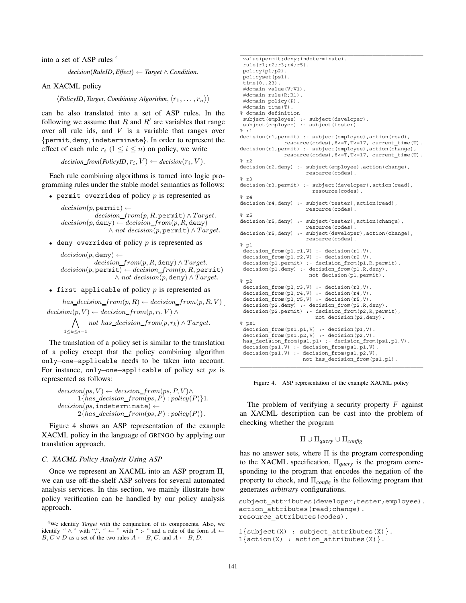into a set of ASP rules <sup>4</sup>

 $decision(RuleID, Effect) \leftarrow Target \wedge Condition.$ 

An XACML policy

 $\langle \textit{PolicyID}, \textit{Target}, \textit{Combining Algorithm}, \langle \textit{r}_1, \ldots, \textit{r}_n \rangle \rangle$ 

can be also translated into a set of ASP rules. In the following we assume that  $R$  and  $R'$  are variables that range over all rule ids, and *V* is a variable that ranges over {permit*,* deny*,* indeterminate}. In order to represent the effect of each rule  $r_i$   $(1 \le i \le n)$  on policy, we write

 $decision\_from(PolicyID, r_i, V) \leftarrow decision(r_i, V).$ 

Each rule combining algorithms is turned into logic programming rules under the stable model semantics as follows:

• permit−overrides of policy *p* is represented as

 $decision(p, \text{permit}) \leftarrow$ *decision from*(*p, R,* permit) ∧ *T arget.*  $decision(p, \text{deny}) \leftarrow decision\_from(p, R, \text{deny})$ ∧ *not decision*(*p,* permit) ∧ *T arget.*

• deny−overrides of policy *p* is represented as

 $decision(p, \text{deny}) \leftarrow$ *decision from*(*p, R,* deny) ∧ *T arget.*  $\textit{decision}(p, \texttt{permit}) \leftarrow \textit{decision\_from}(p, R, \texttt{permit})$ ∧ *not decision*(*p,* deny) ∧ *T arget.*

• first−applicable of policy *p* is represented as

 $has\_decision\_from(p, R) \leftarrow decision\_from(p, R, V)$ .  $decision(p, V) \leftarrow decision\_from(p, r_i, V) \wedge$ 

 $\bigwedge$  *not has decision\_from* $(p, r_k)$  ∧ *Target.* 1≤*k*≤*i*−1

The translation of a policy set is similar to the translation of a policy except that the policy combining algorithm only−one−applicable needs to be taken into account. For instance, only−one−applicable of policy set *ps* is represented as follows:

 $decision(ps, V) \leftarrow decision\_from(ps, P, V) \wedge$  $1{has\_decision\_from(ps, P): policy(P)}$ 1. *decision*(*ps,* indeterminate) ←  $2{has\_decision\_from(ps, P): policy(P)}.$ 

Figure 4 shows an ASP representation of the example XACML policy in the language of GRINGO by applying our translation approach.

### *C. XACML Policy Analysis Using ASP*

Once we represent an XACML into an ASP program Π, we can use off-the-shelf ASP solvers for several automated analysis services. In this section, we mainly illustrate how policy verification can be handled by our policy analysis approach.

value(permit;deny;indeterminate). rule(r1;r2;r3;r4;r5). policy(p1;p2). policyset(ps1). time $(0.123)$ . #domain value(V;V1). #domain rule(R;R1). #domain policy(P). #domain time(T). % domain definition subject(employee) :- subject(developer). subject(employee) :- subject(tester).  $\frac{1}{6}$  r1 decision(r1,permit) :- subject(employee),action(read), resource(codes),8<=T,T<=17, current\_time(T). decision(r1,permit) :- subject(employee),action(change), resource(codes),  $8 < = T$ ,  $T < = 17$ , current time(T). % r2 decision(r2,deny) :- subject(employee),action(change), resource(codes). % r3 decision(r3,permit) :- subject(developer),action(read), resource(codes). % r4 decision(r4,deny) :- subject(tester),action(read), resource(codes). % r5 decision(r5,deny) :- subject(tester),action(change), resource(codes). decision(r5,deny) :- subject(developer),action(change), resource(codes).  $s$  pl decision\_from(p1,r1,V) :- decision(r1,V).  $decision_{r}$ from $(p1, r2, V)$  :- decision(r2, V). decision(p1,permit) :- decision\_from(p1,R,permit). decision(p1,deny) :- decision\_from(p1,R,deny), not decision(p1,permit). % p2 decision\_from(p2,r3,V) :- decision(r3,V).  $decision-Trom(p2,r4,V)$  :- decision(r4,V).  $decision$  $from$  $(p2, r5, V)$  :- decision(r5, V).  $\overline{\text{decision}}(p2,\text{deny})$  :- decision from(p2,R,deny). decision(p2,permit) :- decision\_from(p2,R,permit), not decision(p2,deny). % ps1 decision from(ps1,p1,V) :- decision(p1,V). decision\_from(ps1,p2,V) :- decision(p2,V). has decision from(ps1,p1) :- decision from(ps1,p1,V).  $decision(psi, V)$  :- decision\_from(ps1,p1,V). decision(ps1,V) :- decision\_from(ps1,p2,V), not has\_decision\_from(ps1,p1).

Figure 4. ASP representation of the example XACML policy

The problem of verifying a security property *F* against an XACML description can be cast into the problem of checking whether the program

$$
\Pi \cup \Pi_{query} \cup \Pi_{config}
$$

has no answer sets, where  $\Pi$  is the program corresponding to the XACML specification, Π*query* is the program corresponding to the program that encodes the negation of the property to check, and Π*config* is the following program that generates *arbitrary* configurations.

```
subject attributes(developer;tester;employee).
action attributes(read;change).
resource_attributes(codes).
1{subject(X) : subject_attributes(X) }.
```
 $1\{ \text{action}(X) : \text{action\_attributes}(X) \}.$ 

```
141
```
<sup>4</sup>We identify *Target* with the conjunction of its components. Also, we identify "  $\wedge$  " with ",", " ← " with " :- " and a rule of the form  $A \leftarrow$ *B, C*  $\vee$  *D* as a set of the two rules  $A \leftarrow B$ , *C*. and  $A \leftarrow B$ , *D*.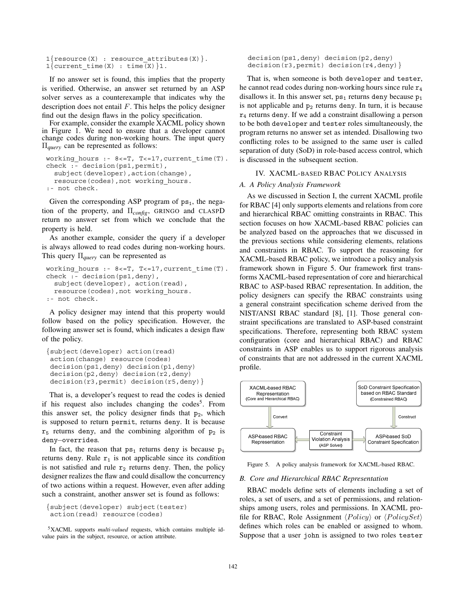```
1{resource(X) : resource attributes(X) }.
1{current time(X) : time(X)}1.
```
If no answer set is found, this implies that the property is verified. Otherwise, an answer set returned by an ASP solver serves as a counterexample that indicates why the description does not entail *F*. This helps the policy designer find out the design flaws in the policy specification.

For example, consider the example XACML policy shown in Figure 1. We need to ensure that a developer cannot change codes during non-working hours. The input query Π*query* can be represented as follows:

```
working hours :- 8<= T, T<= 17, current time(T).
check :- decision(ps1,permit),
  subject(developer),action(change),
  resource(codes),not working_hours.
:- not check.
```
Given the corresponding ASP program of  $ps_1$ , the negation of the property, and Π*config*, GRINGO and CLASPD return no answer set from which we conclude that the property is held.

As another example, consider the query if a developer is always allowed to read codes during non-working hours. This query Π*query* can be represented as

```
working hours :- 8<= T, T<= 17, current time(T).
check :- decision(ps1,deny),
  subject(developer), action(read),
  resource(codes), not working hours.
:- not check.
```
A policy designer may intend that this property would follow based on the policy specification. However, the following answer set is found, which indicates a design flaw of the policy.

```
{subject(developer) action(read)
action(change) resource(codes)
decision(ps1,deny) decision(p1,deny)
decision(p2,deny) decision(r2,deny)
decision(r3, permit) decision(r5, deny) }
```
That is, a developer's request to read the codes is denied if his request also includes changing the codes<sup>5</sup>. From this answer set, the policy designer finds that p<sub>2</sub>, which is supposed to return permit, returns deny. It is because  $r_5$  returns deny, and the combining algorithm of  $p_2$  is deny−overrides.

In fact, the reason that  $ps_1$  returns deny is because  $p_1$ returns deny. Rule  $r_1$  is not applicable since its condition is not satisfied and rule  $r_2$  returns deny. Then, the policy designer realizes the flaw and could disallow the concurrency of two actions within a request. However, even after adding such a constraint, another answer set is found as follows:

```
{subject(developer) subject(tester)
action(read) resource(codes)
```
5XACML supports *multi-valued* requests, which contains multiple idvalue pairs in the subject, resource, or action attribute.

decision(ps1,deny) decision(p2,deny) decision(r3,permit) decision(r4,deny)}

That is, when someone is both developer and tester, he cannot read codes during non-working hours since rule  $r_4$ disallows it. In this answer set,  $ps_1$  returns deny because  $p_1$ is not applicable and  $p_2$  returns deny. In turn, it is because  $r_4$  returns deny. If we add a constraint disallowing a person to be both developer and tester roles simultaneously, the program returns no answer set as intended. Disallowing two conflicting roles to be assigned to the same user is called separation of duty (SoD) in role-based access control, which is discussed in the subsequent section.

# IV. XACML-BASED RBAC POLICY ANALYSIS

# *A. A Policy Analysis Framework*

As we discussed in Section I, the current XACML profile for RBAC [4] only supports elements and relations from core and hierarchical RBAC omitting constraints in RBAC. This section focuses on how XACML-based RBAC policies can be analyzed based on the approaches that we discussed in the previous sections while considering elements, relations and constraints in RBAC. To support the reasoning for XACML-based RBAC policy, we introduce a policy analysis framework shown in Figure 5. Our framework first transforms XACML-based representation of core and hierarchical RBAC to ASP-based RBAC representation. In addition, the policy designers can specify the RBAC constraints using a general constraint specification scheme derived from the NIST/ANSI RBAC standard [8], [1]. Those general constraint specifications are translated to ASP-based constraint specifications. Therefore, representing both RBAC system configuration (core and hierarchical RBAC) and RBAC constraints in ASP enables us to support rigorous analysis of constraints that are not addressed in the current XACML profile.



Figure 5. A policy analysis framework for XACML-based RBAC.

#### *B. Core and Hierarchical RBAC Representation*

RBAC models define sets of elements including a set of roles, a set of users, and a set of permissions, and relationships among users, roles and permissions. In XACML profile for RBAC, Role Assignment  $\langle Policy\rangle$  or  $\langle PolicySet\rangle$ defines which roles can be enabled or assigned to whom. Suppose that a user john is assigned to two roles tester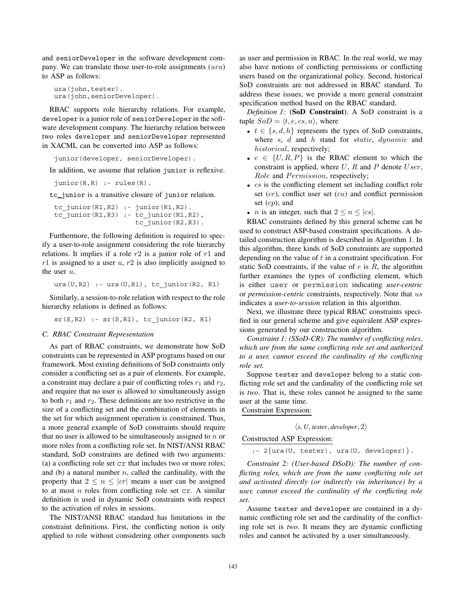and seniorDeveloper in the software development company. We can translate those user-to-role assignments (*ura*) to ASP as follows:

```
ura(john,tester).
ura(john,seniorDeveloper).
```
RBAC supports role hierarchy relations. For example, developer is a junior role of seniorDeveloper in the software development company. The hierarchy relation between two roles developer and seniorDeveloper represented in XACML can be converted into ASP as follows:

junior(developer, seniorDeveloper).

In addition, we assume that relation junior is reflexive.

```
junior(R, R) :- rules(R).
```
tc junior is a transitive closure of junior relation.

```
tc_junior(R1,R2) :- junior(R1,R2).
tc_junior(R1,R3) :- tc_junior(R1,R2),
                    tc_junior(R2,R3).
```
Furthermore, the following definition is required to specify a user-to-role assignment considering the role hierarchy relations. It implies if a role *r*2 is a junior role of *r*1 and *r*1 is assigned to a user *u*, *r*2 is also implicitly assigned to the user *u*.

ura(U,R2) :- ura(U,R1), tc\_junior(R2, R1)

Similarly, a session-to-role relation with respect to the role hierarchy relations is defined as follows:

 $sr(S,R2)$  :-  $sr(S,R1)$ , tc\_junior(R2, R1)

#### *C. RBAC Constraint Representation*

As part of RBAC constraints, we demonstrate how SoD constraints can be represented in ASP programs based on our framework. Most existing definitions of SoD constraints only consider a conflicting set as a pair of elements. For example, a constraint may declare a pair of conflicting roles *r*<sup>1</sup> and *r*2, and require that no user is allowed to simultaneously assign to both  $r_1$  and  $r_2$ . These definitions are too restrictive in the size of a conflicting set and the combination of elements in the set for which assignment operation is constrained. Thus, a more general example of SoD constraints should require that no user is allowed to be simultaneously assigned to *n* or more roles from a conflicting role set. In NIST/ANSI RBAC standard, SoD constraints are defined with two arguments: (a) a conflicting role set cr that includes two or more roles; and (b) a natural number *n*, called the cardinality, with the property that  $2 \leq n \leq |cr|$  means a user can be assigned to at most *n* roles from conflicting role set cr. A similar definition is used in dynamic SoD constraints with respect to the activation of roles in sessions.

The NIST/ANSI RBAC standard has limitations in the constraint definitions. First, the conflicting notion is only applied to role without considering other components such

as user and permission in RBAC. In the real world, we may also have notions of conflicting permissions or conflicting users based on the organizational policy. Second, historical SoD constraints are not addressed in RBAC standard. To address these issues, we provide a more general constraint specification method based on the RBAC standard.

*Definition 1:* (**SoD Constraint**). A SoD constraint is a tuple  $SoD = \langle t, e, cs, n \rangle$ , where

- $t \in \{s, d, h\}$  represents the types of SoD constraints, where *s*, *d* and *h* stand for *static*, *dynamic* and *historical*, respectively;
- $e \in \{U, R, P\}$  is the RBAC element to which the constraint is applied, where *U*, *R* and *P* denote *User*, *Role* and *Permission*, respectively;
- *cs* is the conflicting element set including conflict role set (*cr*), conflict user set (*cu*) and conflict permission set (*cp*); and
- *n* is an integer, such that  $2 \le n \le |cs|$ .

RBAC constraints defined by this general scheme can be used to construct ASP-based constraint specifications. A detailed construction algorithm is described in Algorithm 1. In this algorithm, three kinds of SoD constraints are supported depending on the value of *t* in a constraint specification. For static SoD constraints, if the value of *e* is *R*, the algorithm further examines the types of conflicting element, which is either user or permission indicating *user-centric* or *permission-centric* constraints, respectively. Note that *us* indicates a *user-to-session* relation in this algorithm.

Next, we illustrate three typical RBAC constraints specified in our general scheme and give equivalent ASP expressions generated by our construction algorithm.

*Constraint 1: (SSoD-CR): The number of conflicting roles, which are from the same conflicting role set and authorized to a user, cannot exceed the cardinality of the conflicting role set.*

Suppose tester and developer belong to a static conflicting role set and the cardinality of the conflicting role set is *two*. That is, these roles cannot be assigned to the same user at the same time.

Constraint Expression:

$$
\langle s, U, \text{tester}, \text{development}, 2 \rangle
$$

# Constructed ASP Expression:

 $: -2$ {ura(U, tester), ura(U, developer) }.

*Constraint 2: (User-based DSoD): The number of conflicting roles, which are from the same conflicting role set and activated directly (or indirectly via inheritance) by a user, cannot exceed the cardinality of the conflicting role set.*

Assume tester and developer are contained in a dynamic conflicting role set and the cardinality of the conflicting role set is *two*. It means they are dynamic conflicting roles and cannot be activated by a user simultaneously.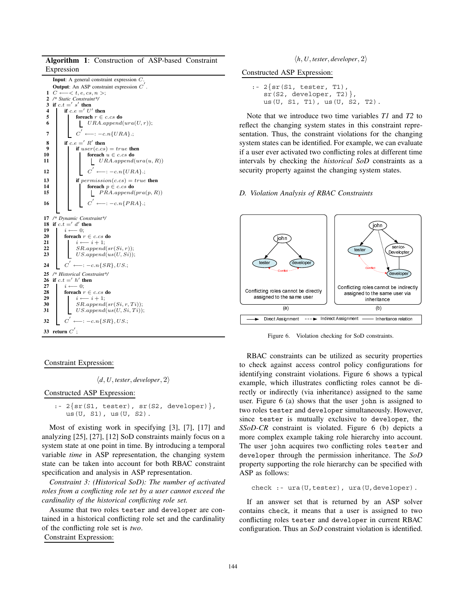**Algorithm 1**: Construction of ASP-based Constraint Expression

**Input**: A general constraint expression *C*. **Output**: An ASP constraint expression *C*- . **1** *C* ←−*< t, e, cs, n >*;<br> **2** /\* Static Constraint\*/ **2** */\* Static Constraint\*/* **3** if  $c \cdot t = s'$  then **4 if**  $c.e = U'$  **then 5 foreach**  $r \in c.cs$  **do** 6  $\bigcup$  *URA.append*(*ura*(*U, r*)); *C*<sup> $\'$ </sup> ←−: −*c.n*{*URA*}.; **8 if**  $c.e = K'$  **then 9 if**  $user(c.cs) = true$  **then**<br>**10 if foreach**  $u \in c.cs$  **do 10 foreach**  $u \in c.cs$  **do**<br>**11 foreach**  $u \in c.cs$  **do 11** *URA.append*(*ura*(*u, R*))  $C' \leftarrow -\infty$ .  $\in$  *C LIRA*}.; **13 if**  $\text{permission}(c.cs) = true$  **then**<br>**14 if oreach**  $p \in c.cs$  **do 14 foreach**  $p \in c.cs$  **do**<br>**15 foreach**  $p \in c.cs$  **do 15** *P RA.append*(*pra*(*p, R*)) *C*- **16**  $\qquad \qquad C' \leftarrow : -c.n\{PRA\}.$ **17** */\* Dynamic Constraint\*/* **18 if**  $c \cdot t =' d'$  **then**  $\begin{array}{|c|c|c|}\n\hline\n\textbf{19} & i \longleftarrow 0; \\
\textbf{20} & \textbf{for each } i \end{array}$ **20 foreach**  $r \in c.cs$  **do**<br>**21 i**  $i \leftarrow i + 1$ : **21**  $i \leftarrow i+1;$ <br>**22 i**  $sR$  annead 22  $SSR.append(sr(Si, r));$ <br>23  $US.append(us(U, Si))$ ; **23** *US.append*(*us*(*U, Si*)); 24  $C' \longleftarrow : -c.n\{SR\}, US.$ **25** */\* Historical Constraint\*/* **26 if**  $c.t = h'$  **then**  $\begin{array}{ccc} 27 & i \longleftarrow 0; \\ 28 & \text{foreach } i \end{array}$  ${\bf force}$   ${\bf c}$   ${\bf c}$   ${\bf c}$   ${\bf c}$   ${\bf c}$   ${\bf s}$   ${\bf d}$ **29** *i* ← *i* + 1;<br>**30** *SR* annend **30**  $S$ *R.append*( $sr(Si, r, Ti)$ );<br>**31**  $US.append(us(U, Si, Ti))$  $US.append(us(U, Si, Ti));$ **32**  $C' \leftarrow -\text{: } -c.n\{SR\}, US.$ **33** return  $C'$  ;

# Constraint Expression:

 $\langle d, U, \text{tester}, \text{develope}, 2 \rangle$ 

Constructed ASP Expression:

```
: -2\{sr(S1, tester), sr(S2, development)\}\,us(U, S1), us(U, S2).
```
Most of existing work in specifying [3], [7], [17] and analyzing [25], [27], [12] SoD constraints mainly focus on a system state at one point in time. By introducing a temporal variable *time* in ASP representation, the changing system state can be taken into account for both RBAC constraint specification and analysis in ASP representation.

*Constraint 3: (Historical SoD): The number of activated roles from a conflicting role set by a user cannot exceed the cardinality of the historical conflicting role set.*

Assume that two roles tester and developer are contained in a historical conflicting role set and the cardinality of the conflicting role set is *two*.

Constraint Expression:

 $\langle h, U, \text{tester}, \text{development}, 2 \rangle$ 

Constructed ASP Expression:

```
: -2\{sr(S1, tester, T1),\}sr(S2, developer, T2)},
   us(U, S1, T1), us(U, S2, T2).
```
Note that we introduce two time variables *T1* and *T2* to reflect the changing system states in this constraint representation. Thus, the constraint violations for the changing system states can be identified. For example, we can evaluate if a user ever activated two conflicting roles at different time intervals by checking the *historical SoD* constraints as a security property against the changing system states.

### *D. Violation Analysis of RBAC Constraints*



Figure 6. Violation checking for SoD constraints.

assigned to the same use<br>
(a)<br>  $\longrightarrow$  Direct Assignment  $\dots \rightarrow$  F<br>
Figure 6. Violation c<br>
RBAC constraints can b<br>
check against access coentifying constraint viola<br>
cample, which illustrates<br>
celly or indirectly (via in<br>
er. assigned to the same user (a) assigned to the same user via<br>
inheritance<br>
(b)<br>
Assignment — Inheritance relation<br>
Assignment — Inheritance relation<br>
1<br>
Conflicting roles cannot be discussed in<br>
Equation is assigned to the same<br>
the user john is assigne inheritance<br>
(b)<br>
<u>Inheritance</u><br>
(c)<br>
Inheritance relation<br>
for SoD constraints.<br>
Led as security proper<br>
policy configurations<br>
Figure 6 shows a typi<br>
tring roles cannot be<br>
ce) assigned to the sa<br>
user john is assigned<br> **interest and the contraint**<br>
(b)<br> **inherita**<br>
constraint<br>
security<br>
configure 6 shows:<br>
configure 6 (b)<br>
index and to devel<br>
be the condition of the specurity and Association<br>
be specurity and Association<br>
security and As (b) hh<br>str:<br>str:<br>str:<br>tr:<br>fihc ced<br>ed<br>i i v)<br>ex<br>(y)<br>es<br>an<br>ced<br>i c RBAC constraints can be utilized as security properties to check against access control policy configurations for identifying constraint violations. Figure 6 shows a typical example, which illustrates conflicting roles cannot be directly or indirectly (via inheritance) assigned to the same user. Figure 6 (a) shows that the user john is assigned to two roles tester and developer simultaneously. However, since tester is mutually exclusive to developer, the *SSoD-CR* constraint is violated. Figure 6 (b) depicts a more complex example taking role hierarchy into account. The user john acquires two conflicting roles tester and developer through the permission inheritance. The *SoD* property supporting the role hierarchy can be specified with ASP as follows:

check :- ura(U,tester), ura(U,developer).

If an answer set that is returned by an ASP solver contains check, it means that a user is assigned to two conflicting roles tester and developer in current RBAC configuration. Thus an *SoD* constraint violation is identified.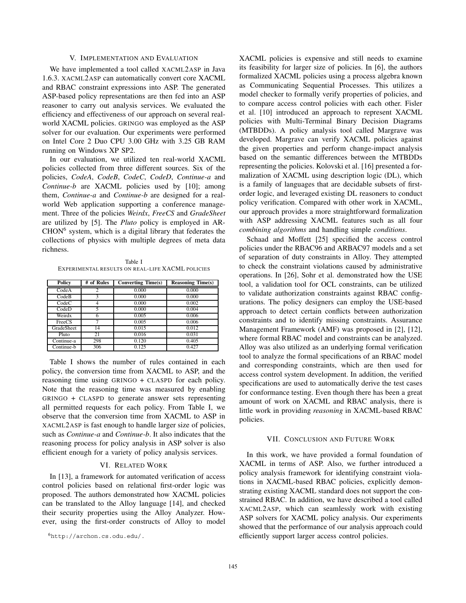### V. IMPLEMENTATION AND EVALUATION

We have implemented a tool called XACML2ASP in Java 1.6.3. XACML2ASP can automatically convert core XACML and RBAC constraint expressions into ASP. The generated ASP-based policy representations are then fed into an ASP reasoner to carry out analysis services. We evaluated the efficiency and effectiveness of our approach on several realworld XACML policies. GRINGO was employed as the ASP solver for our evaluation. Our experiments were performed on Intel Core 2 Duo CPU 3.00 GHz with 3.25 GB RAM running on Windows XP SP2.

In our evaluation, we utilized ten real-world XACML policies collected from three different sources. Six of the policies, *CodeA*, *CodeB*, *CodeC*, *CodeD*, *Continue-a* and *Continue-b* are XACML policies used by [10]; among them, *Continue-a* and *Continue-b* are designed for a realworld Web application supporting a conference management. Three of the policies *Weirdx*, *FreeCS* and *GradeSheet* are utilized by [5]. The *Pluto* policy is employed in AR- $CHON<sup>6</sup>$  system, which is a digital library that federates the collections of physics with multiple degrees of meta data richness.

Table I EXPERIMENTAL RESULTS ON REAL-LIFE XACML POLICIES

| <b>Policy</b> | # of Rules | <b>Converting Time(s)</b> | <b>Reasoning Time(s)</b> |
|---------------|------------|---------------------------|--------------------------|
| CodeA         | C          | 0.000                     | 0.000                    |
| CodeB         |            | 0.000                     | 0.000                    |
| CodeC         |            | 0.000                     | 0.002                    |
| CodeD         | 5          | 0.000                     | 0.004                    |
| Weirdx        | 6          | 0.005                     | 0.006                    |
| FreeCS        |            | 0.005                     | 0.006                    |
| GradeSheet    | 14         | 0.015                     | 0.012                    |
| Pluto         | 21         | 0.016                     | 0.031                    |
| Continue-a    | 298        | 0.120                     | 0.405                    |
| Continue-b    | 306        | 0.125                     | 0.427                    |

Table I shows the number of rules contained in each policy, the conversion time from XACML to ASP, and the reasoning time using GRINGO + CLASPD for each policy. Note that the reasoning time was measured by enabling GRINGO + CLASPD to generate answer sets representing all permitted requests for each policy. From Table I, we observe that the conversion time from XACML to ASP in XACML2ASP is fast enough to handle larger size of policies, such as *Continue-a* and *Continue-b*. It also indicates that the reasoning process for policy analysis in ASP solver is also efficient enough for a variety of policy analysis services.

# VI. RELATED WORK

In [13], a framework for automated verification of access control policies based on relational first-order logic was proposed. The authors demonstrated how XACML policies can be translated to the Alloy language [14], and checked their security properties using the Alloy Analyzer. However, using the first-order constructs of Alloy to model

XACML policies is expensive and still needs to examine its feasibility for larger size of policies. In [6], the authors formalized XACML policies using a process algebra known as Communicating Sequential Processes. This utilizes a model checker to formally verify properties of policies, and to compare access control policies with each other. Fisler et al. [10] introduced an approach to represent XACML policies with Multi-Terminal Binary Decision Diagrams (MTBDDs). A policy analysis tool called Margrave was developed. Margrave can verify XACML policies against the given properties and perform change-impact analysis based on the semantic differences between the MTBDDs representing the policies. Kolovski et al. [16] presented a formalization of XACML using description logic (DL), which is a family of languages that are decidable subsets of firstorder logic, and leveraged existing DL reasoners to conduct policy verification. Compared with other work in XACML, our approach provides a more straightforward formalization with ASP addressing XACML features such as all four *combining algorithms* and handling simple *conditions*.

Schaad and Moffett [25] specified the access control policies under the RBAC96 and ARBAC97 models and a set of separation of duty constraints in Alloy. They attempted to check the constraint violations caused by administrative operations. In [26], Sohr et al. demonstrated how the USE tool, a validation tool for OCL constraints, can be utilized to validate authorization constraints against RBAC configurations. The policy designers can employ the USE-based approach to detect certain conflicts between authorization constraints and to identify missing constraints. Assurance Management Framework (AMF) was proposed in [2], [12], where formal RBAC model and constraints can be analyzed. Alloy was also utilized as an underlying formal verification tool to analyze the formal specifications of an RBAC model and corresponding constraints, which are then used for access control system development. In addition, the verified specifications are used to automatically derive the test cases for conformance testing. Even though there has been a great amount of work on XACML and RBAC analysis, there is little work in providing *reasoning* in XACML-based RBAC policies.

### VII. CONCLUSION AND FUTURE WORK

In this work, we have provided a formal foundation of XACML in terms of ASP. Also, we further introduced a policy analysis framework for identifying constraint violations in XACML-based RBAC policies, explicitly demonstrating existing XACML standard does not support the constrained RBAC. In addition, we have described a tool called XACML2ASP, which can seamlessly work with existing ASP solvers for XACML policy analysis. Our experiments showed that the performance of our analysis approach could efficiently support larger access control policies.

<sup>6</sup>http://archon.cs.odu.edu/.